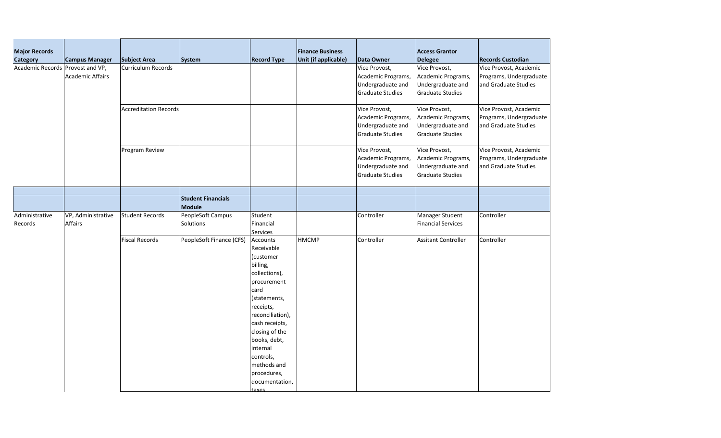| <b>Records Custodian</b> |
|--------------------------|
| Vice Provost, Academic   |
| Programs, Undergraduate  |
| and Graduate Studies     |
|                          |
|                          |
| Vice Provost, Academic   |
| Programs, Undergraduate  |
| and Graduate Studies     |
|                          |
|                          |
| Vice Provost, Academic   |
| Programs, Undergraduate  |
| and Graduate Studies     |
|                          |
|                          |
|                          |
|                          |
| Controller               |
|                          |
| Controller               |
|                          |
|                          |
|                          |
|                          |
|                          |
|                          |
|                          |
|                          |

| <b>Major Records</b><br><b>Category</b> | <b>Campus Manager</b>                | <b>Subject Area</b>          | System                              | <b>Record Type</b>                                                                                                                                                                                                                                                             | <b>Finance Business</b><br>Unit (if applicable) | Data Owner                                                                          | <b>Access Grantor</b><br><b>Delegee</b>                                             | <b>Records Custodian</b>                                     |
|-----------------------------------------|--------------------------------------|------------------------------|-------------------------------------|--------------------------------------------------------------------------------------------------------------------------------------------------------------------------------------------------------------------------------------------------------------------------------|-------------------------------------------------|-------------------------------------------------------------------------------------|-------------------------------------------------------------------------------------|--------------------------------------------------------------|
| Academic Records   Provost and VP,      | <b>Academic Affairs</b>              | <b>Curriculum Records</b>    |                                     |                                                                                                                                                                                                                                                                                |                                                 | Vice Provost,<br>Academic Programs,<br>Undergraduate and<br><b>Graduate Studies</b> | Vice Provost,<br>Academic Programs,<br>Undergraduate and<br><b>Graduate Studies</b> | Vice Provost, Acad<br>Programs, Undergr<br>and Graduate Stud |
|                                         |                                      | <b>Accreditation Records</b> |                                     |                                                                                                                                                                                                                                                                                |                                                 | Vice Provost,<br>Academic Programs,<br>Undergraduate and<br><b>Graduate Studies</b> | Vice Provost,<br>Academic Programs,<br>Undergraduate and<br>Graduate Studies        | Vice Provost, Acad<br>Programs, Undergr<br>and Graduate Stud |
|                                         |                                      | Program Review               |                                     |                                                                                                                                                                                                                                                                                |                                                 | Vice Provost,<br>Academic Programs,<br>Undergraduate and<br><b>Graduate Studies</b> | Vice Provost,<br>Academic Programs,<br>Undergraduate and<br><b>Graduate Studies</b> | Vice Provost, Acad<br>Programs, Undergr<br>and Graduate Stud |
|                                         |                                      |                              | <b>Student Financials</b><br>Module |                                                                                                                                                                                                                                                                                |                                                 |                                                                                     |                                                                                     |                                                              |
| Administrative<br>Records               | VP, Administrative<br><b>Affairs</b> | <b>Student Records</b>       | PeopleSoft Campus<br>Solutions      | Student<br>Financial<br><b>Services</b>                                                                                                                                                                                                                                        |                                                 | Controller                                                                          | Manager Student<br><b>Financial Services</b>                                        | Controller                                                   |
|                                         |                                      | <b>Fiscal Records</b>        | PeopleSoft Finance (CFS)            | Accounts<br>Receivable<br>(customer<br>billing,<br>collections),<br>procurement<br>card<br>(statements,<br>receipts,<br>reconciliation),<br>cash receipts,<br>closing of the<br>books, debt,<br>internal<br>controls,<br>methods and<br>procedures,<br>documentation,<br>taxes | <b>HMCMP</b>                                    | Controller                                                                          | <b>Assitant Controller</b>                                                          | Controller                                                   |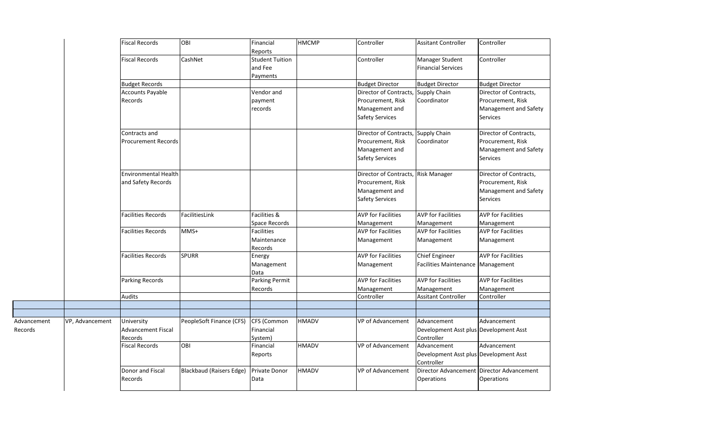|             |                 | <b>Fiscal Records</b>       | <b>OBI</b>                      | Financial<br>Reports                          | <b>HMCMP</b> | Controller                          | <b>Assitant Controller</b>                             | Controller                                |
|-------------|-----------------|-----------------------------|---------------------------------|-----------------------------------------------|--------------|-------------------------------------|--------------------------------------------------------|-------------------------------------------|
|             |                 | <b>Fiscal Records</b>       | CashNet                         | <b>Student Tuition</b><br>and Fee<br>Payments |              | Controller                          | Manager Student<br><b>Financial Services</b>           | Controller                                |
|             |                 | <b>Budget Records</b>       |                                 |                                               |              | <b>Budget Director</b>              | <b>Budget Director</b>                                 | <b>Budget Director</b>                    |
|             |                 | <b>Accounts Payable</b>     |                                 | Vendor and                                    |              | Director of Contracts, Supply Chain |                                                        | Director of Contracts,                    |
|             |                 | Records                     |                                 | payment                                       |              | Procurement, Risk                   | Coordinator                                            | Procurement, Risk                         |
|             |                 |                             |                                 | records                                       |              | Management and                      |                                                        | Management and Safety                     |
|             |                 |                             |                                 |                                               |              | <b>Safety Services</b>              |                                                        | <b>Services</b>                           |
|             |                 | Contracts and               |                                 |                                               |              | Director of Contracts, Supply Chain |                                                        | Director of Contracts,                    |
|             |                 | <b>Procurement Records</b>  |                                 |                                               |              | Procurement, Risk                   | Coordinator                                            | Procurement, Risk                         |
|             |                 |                             |                                 |                                               |              | Management and                      |                                                        | Management and Safety                     |
|             |                 |                             |                                 |                                               |              | <b>Safety Services</b>              |                                                        | <b>Services</b>                           |
|             |                 | <b>Environmental Health</b> |                                 |                                               |              | Director of Contracts,              | <b>Risk Manager</b>                                    | Director of Contracts,                    |
|             |                 | and Safety Records          |                                 |                                               |              | Procurement, Risk                   |                                                        | Procurement, Risk                         |
|             |                 |                             |                                 |                                               |              | Management and                      |                                                        | Management and Safety                     |
|             |                 |                             |                                 |                                               |              | <b>Safety Services</b>              |                                                        | <b>Services</b>                           |
|             |                 | Facilities Records          | FacilitiesLink                  | Facilities &                                  |              | <b>AVP for Facilities</b>           | <b>AVP</b> for Facilities                              | <b>AVP</b> for Facilities                 |
|             |                 |                             |                                 | Space Records                                 |              | Management                          | Management                                             | Management                                |
|             |                 | <b>Facilities Records</b>   | $MMS+$                          | <b>Facilities</b>                             |              | <b>AVP for Facilities</b>           | <b>AVP</b> for Facilities                              | <b>AVP</b> for Facilities                 |
|             |                 |                             |                                 | Maintenance<br>Records                        |              | Management                          | Management                                             | Management                                |
|             |                 | <b>Facilities Records</b>   | <b>SPURR</b>                    | Energy                                        |              | <b>AVP for Facilities</b>           | <b>Chief Engineer</b>                                  | <b>AVP</b> for Facilities                 |
|             |                 |                             |                                 | Management<br>Data                            |              | Management                          | Facilities Maintenance   Management                    |                                           |
|             |                 | <b>Parking Records</b>      |                                 | Parking Permit                                |              | <b>AVP</b> for Facilities           | <b>AVP for Facilities</b>                              | <b>AVP</b> for Facilities                 |
|             |                 |                             |                                 | Records                                       |              | Management                          | Management                                             | Management                                |
|             |                 | <b>Audits</b>               |                                 |                                               |              | Controller                          | <b>Assitant Controller</b>                             | Controller                                |
|             |                 |                             |                                 |                                               |              |                                     |                                                        |                                           |
|             |                 |                             |                                 |                                               |              |                                     |                                                        |                                           |
| Advancement | VP, Advancement | University                  | PeopleSoft Finance (CFS)        | <b>CFS (Common</b>                            | <b>HMADV</b> | VP of Advancement                   | Advancement                                            | Advancement                               |
| Records     |                 | <b>Advancement Fiscal</b>   |                                 | Financial                                     |              |                                     | Development Asst plus Development Asst                 |                                           |
|             |                 | Records                     |                                 | System)                                       |              |                                     | Controller                                             |                                           |
|             |                 | <b>Fiscal Records</b>       | OBI                             | Financial                                     | <b>HMADV</b> | VP of Advancement                   | Advancement                                            | Advancement                               |
|             |                 |                             |                                 | Reports                                       |              |                                     | Development Asst plus   Development Asst<br>Controller |                                           |
|             |                 | Donor and Fiscal            | <b>Blackbaud (Raisers Edge)</b> | Private Donor                                 | <b>HMADV</b> | VP of Advancement                   |                                                        | Director Advancement Director Advancement |
|             |                 | Records                     |                                 | Data                                          |              |                                     | <b>Operations</b>                                      | Operations                                |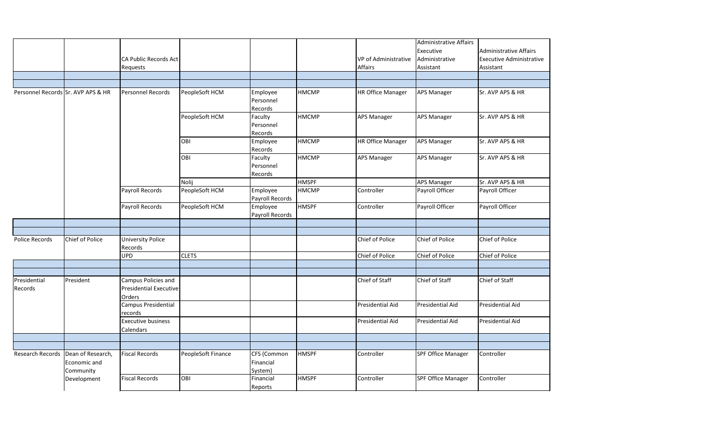|                                    |                        |                               |                    |                 |              |                             | <b>Administrative Affairs</b> |                                 |
|------------------------------------|------------------------|-------------------------------|--------------------|-----------------|--------------|-----------------------------|-------------------------------|---------------------------------|
|                                    |                        |                               |                    |                 |              |                             | Executive                     | Administrative Affairs          |
|                                    |                        | <b>CA Public Records Act</b>  |                    |                 |              | <b>VP</b> of Administrative | Administrative                | <b>Executive Administrative</b> |
|                                    |                        | <b>Requests</b>               |                    |                 |              | <b>Affairs</b>              | Assistant                     | Assistant                       |
|                                    |                        |                               |                    |                 |              |                             |                               |                                 |
|                                    |                        |                               |                    |                 |              |                             |                               |                                 |
| Personnel Records Sr. AVP APS & HR |                        | Personnel Records             | PeopleSoft HCM     | Employee        | <b>HMCMP</b> | <b>HR Office Manager</b>    | <b>APS Manager</b>            | Sr. AVP APS & HR                |
|                                    |                        |                               |                    | Personnel       |              |                             |                               |                                 |
|                                    |                        |                               |                    | Records         |              |                             |                               |                                 |
|                                    |                        |                               | PeopleSoft HCM     | Faculty         | <b>HMCMP</b> | <b>APS Manager</b>          | <b>APS Manager</b>            | Sr. AVP APS & HR                |
|                                    |                        |                               |                    | Personnel       |              |                             |                               |                                 |
|                                    |                        |                               |                    | Records         |              |                             |                               |                                 |
|                                    |                        |                               | <b>OBI</b>         | Employee        | <b>HMCMP</b> | <b>HR Office Manager</b>    | <b>APS Manager</b>            | Sr. AVP APS & HR                |
|                                    |                        |                               |                    | Records         |              |                             |                               |                                 |
|                                    |                        |                               | OBI                | Faculty         | <b>HMCMP</b> | <b>APS Manager</b>          | <b>APS Manager</b>            | Sr. AVP APS & HR                |
|                                    |                        |                               |                    | Personnel       |              |                             |                               |                                 |
|                                    |                        |                               |                    | Records         |              |                             |                               |                                 |
|                                    |                        |                               | Nolij              |                 | <b>HMSPF</b> |                             | <b>APS Manager</b>            | Sr. AVP APS & HR                |
|                                    |                        | Payroll Records               | PeopleSoft HCM     | Employee        | <b>HMCMP</b> | Controller                  | Payroll Officer               | Payroll Officer                 |
|                                    |                        |                               |                    | Payroll Records |              |                             |                               |                                 |
|                                    |                        | Payroll Records               | PeopleSoft HCM     | Employee        | <b>HMSPF</b> | Controller                  | Payroll Officer               | Payroll Officer                 |
|                                    |                        |                               |                    | Payroll Records |              |                             |                               |                                 |
|                                    |                        |                               |                    |                 |              |                             |                               |                                 |
|                                    |                        |                               |                    |                 |              |                             |                               |                                 |
| Police Records                     | <b>Chief of Police</b> | <b>University Police</b>      |                    |                 |              | Chief of Police             | Chief of Police               | Chief of Police                 |
|                                    |                        | Records                       |                    |                 |              |                             |                               |                                 |
|                                    |                        | <b>UPD</b>                    | <b>CLETS</b>       |                 |              | Chief of Police             | Chief of Police               | Chief of Police                 |
|                                    |                        |                               |                    |                 |              |                             |                               |                                 |
|                                    |                        |                               |                    |                 |              |                             |                               |                                 |
| Presidential                       | President              | Campus Policies and           |                    |                 |              | Chief of Staff              | Chief of Staff                | Chief of Staff                  |
| Records                            |                        | <b>Presidential Executive</b> |                    |                 |              |                             |                               |                                 |
|                                    |                        | <b>Orders</b>                 |                    |                 |              |                             |                               |                                 |
|                                    |                        | Campus Presidential           |                    |                 |              | Presidential Aid            | <b>Presidential Aid</b>       | Presidential Aid                |
|                                    |                        | records                       |                    |                 |              |                             |                               |                                 |
|                                    |                        | <b>Executive business</b>     |                    |                 |              | Presidential Aid            | Presidential Aid              | Presidential Aid                |
|                                    |                        | Calendars                     |                    |                 |              |                             |                               |                                 |
|                                    |                        |                               |                    |                 |              |                             |                               |                                 |
|                                    |                        |                               |                    |                 |              |                             |                               |                                 |
| Research Records                   | Dean of Research,      | <b>Fiscal Records</b>         | PeopleSoft Finance | CFS (Common     | <b>HMSPF</b> | Controller                  | <b>SPF Office Manager</b>     | Controller                      |
|                                    | Economic and           |                               |                    | Financial       |              |                             |                               |                                 |
|                                    | Community              |                               |                    | System)         |              |                             |                               |                                 |
|                                    | Development            | <b>Fiscal Records</b>         | OBI                | Financial       | <b>HMSPF</b> | Controller                  | <b>SPF Office Manager</b>     | Controller                      |
|                                    |                        |                               |                    | Reports         |              |                             |                               |                                 |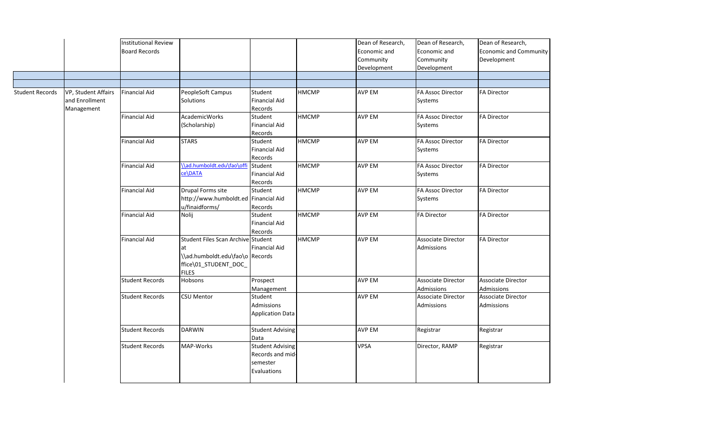| Dean of Research,             |
|-------------------------------|
| <b>Economic and Community</b> |
|                               |
| Development                   |
|                               |
|                               |
|                               |
| <b>FA Director</b>            |
|                               |
|                               |
| <b>FA Director</b>            |
|                               |
|                               |
| <b>FA Director</b>            |
|                               |
|                               |
| <b>FA Director</b>            |
|                               |
|                               |
| <b>FA Director</b>            |
|                               |
|                               |
| <b>FA Director</b>            |
|                               |
|                               |
| <b>FA Director</b>            |
|                               |
|                               |
|                               |
|                               |
|                               |
| <b>Associate Director</b>     |
| Admissions                    |
| <b>Associate Director</b>     |
| Admissions                    |
|                               |
|                               |
| Registrar                     |
|                               |
| Registrar                     |
|                               |
|                               |
|                               |
|                               |

|                        |                                                     | <b>Institutional Review</b><br><b>Board Records</b> |                                                                                                                     |                                                                        |              | Dean of Research,<br>Economic and<br>Community<br>Development | Dean of Research,<br>Economic and<br>Community<br>Development | Dean of Re<br>Economic a<br>Developme |
|------------------------|-----------------------------------------------------|-----------------------------------------------------|---------------------------------------------------------------------------------------------------------------------|------------------------------------------------------------------------|--------------|---------------------------------------------------------------|---------------------------------------------------------------|---------------------------------------|
|                        |                                                     |                                                     |                                                                                                                     |                                                                        |              |                                                               |                                                               |                                       |
| <b>Student Records</b> | VP, Student Affairs<br>and Enrollment<br>Management | <b>Financial Aid</b>                                | PeopleSoft Campus<br><b>Solutions</b>                                                                               | Student<br><b>Financial Aid</b><br>Records                             | <b>HMCMP</b> | <b>AVP EM</b>                                                 | <b>FA Assoc Director</b><br>Systems                           | <b>FA Director</b>                    |
|                        |                                                     | <b>Financial Aid</b>                                | <b>AcademicWorks</b><br>(Scholarship)                                                                               | Student<br><b>Financial Aid</b><br>Records                             | <b>HMCMP</b> | <b>AVP EM</b>                                                 | <b>FA Assoc Director</b><br>Systems                           | <b>FA Director</b>                    |
|                        |                                                     | <b>Financial Aid</b>                                | <b>STARS</b>                                                                                                        | Student<br><b>Financial Aid</b><br>Records                             | <b>HMCMP</b> | <b>AVP EM</b>                                                 | <b>FA Assoc Director</b><br>Systems                           | <b>FA Director</b>                    |
|                        |                                                     | <b>Financial Aid</b>                                | \\ad.humboldt.edu\fao\offi<br>ce\DATA                                                                               | Student<br><b>Financial Aid</b><br>Records                             | <b>HMCMP</b> | <b>AVP EM</b>                                                 | <b>FA Assoc Director</b><br>Systems                           | <b>FA Director</b>                    |
|                        |                                                     | <b>Financial Aid</b>                                | Drupal Forms site<br>http://www.humboldt.ed Financial Aid<br>u/finaidforms/                                         | Student<br>Records                                                     | <b>HMCMP</b> | <b>AVP EM</b>                                                 | <b>FA Assoc Director</b><br>Systems                           | <b>FA Director</b>                    |
|                        |                                                     | <b>Financial Aid</b>                                | Nolij                                                                                                               | Student<br><b>Financial Aid</b><br>Records                             | <b>HMCMP</b> | <b>AVP EM</b>                                                 | <b>FA Director</b>                                            | <b>FA Director</b>                    |
|                        |                                                     | <b>Financial Aid</b>                                | Student Files Scan Archive Student<br>at<br>\\ad.humboldt.edu\fao\o Records<br>ffice\01 STUDENT DOC<br><b>FILES</b> | <b>Financial Aid</b>                                                   | <b>HMCMP</b> | <b>AVP EM</b>                                                 | Associate Director<br>Admissions                              | <b>FA Director</b>                    |
|                        |                                                     | <b>Student Records</b>                              | <b>Hobsons</b>                                                                                                      | Prospect<br>Management                                                 |              | <b>AVP EM</b>                                                 | Associate Director<br>Admissions                              | Associate D<br>Admissions             |
|                        |                                                     | <b>Student Records</b>                              | <b>CSU Mentor</b>                                                                                                   | Student<br>Admissions<br>Application Data                              |              | <b>AVP EM</b>                                                 | Associate Director<br>Admissions                              | Associate D<br>Admissions             |
|                        |                                                     | <b>Student Records</b>                              | <b>DARWIN</b>                                                                                                       | <b>Student Advising</b><br>Data                                        |              | <b>AVP EM</b>                                                 | Registrar                                                     | Registrar                             |
|                        |                                                     | <b>Student Records</b>                              | MAP-Works                                                                                                           | <b>Student Advising</b><br>Records and mid-<br>semester<br>Evaluations |              | <b>VPSA</b>                                                   | Director, RAMP                                                | Registrar                             |